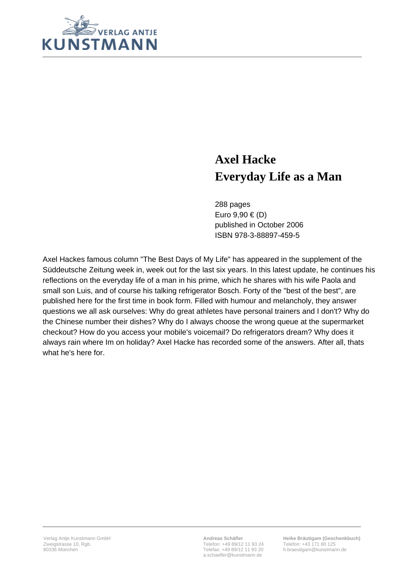

## **Axel Hacke Everyday Life as a Man**

288 pages Euro 9,90 € (D) published in October 2006 ISBN 978-3-88897-459-5

Axel Hackes famous column "The Best Days of My Life" has appeared in the supplement of the Süddeutsche Zeitung week in, week out for the last six years. In this latest update, he continues his reflections on the everyday life of a man in his prime, which he shares with his wife Paola and small son Luis, and of course his talking refrigerator Bosch. Forty of the "best of the best", are published here for the first time in book form. Filled with humour and melancholy, they answer questions we all ask ourselves: Why do great athletes have personal trainers and I don't? Why do the Chinese number their dishes? Why do I always choose the wrong queue at the supermarket checkout? How do you access your mobile's voicemail? Do refrigerators dream? Why does it always rain where Im on holiday? Axel Hacke has recorded some of the answers. After all, thats what he's here for.